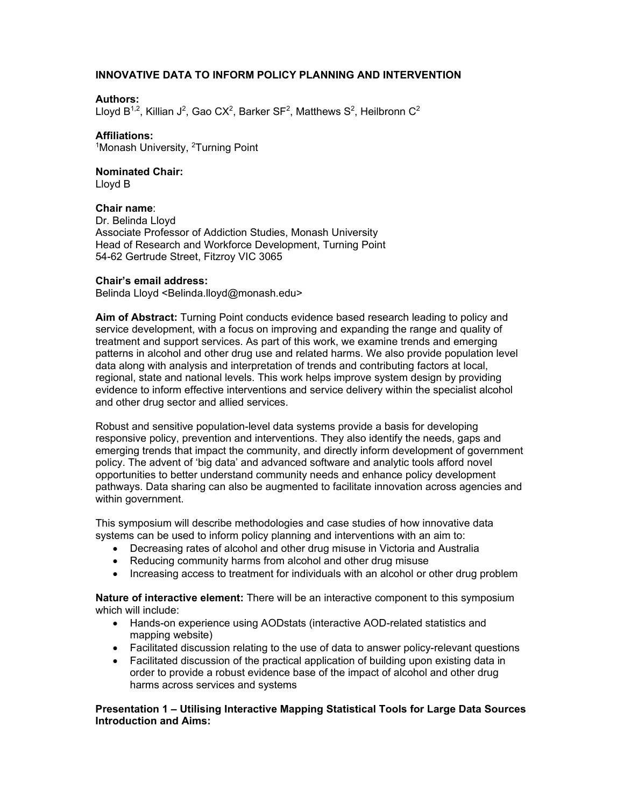# **INNOVATIVE DATA TO INFORM POLICY PLANNING AND INTERVENTION**

## **Authors:**

Lloyd B<sup>1,2</sup>, Killian J<sup>2</sup>, Gao CX<sup>2</sup>, Barker SF<sup>2</sup>, Matthews S<sup>2</sup>, Heilbronn C<sup>2</sup>

## **Affiliations:**

<sup>1</sup>Monash University, <sup>2</sup>Turning Point

## **Nominated Chair:**

Lloyd B

#### **Chair name**:

Dr. Belinda Lloyd Associate Professor of Addiction Studies, Monash University Head of Research and Workforce Development, Turning Point 54-62 Gertrude Street, Fitzroy VIC 3065

#### **Chair's email address:**

Belinda Lloyd <Belinda.lloyd@monash.edu>

**Aim of Abstract:** Turning Point conducts evidence based research leading to policy and service development, with a focus on improving and expanding the range and quality of treatment and support services. As part of this work, we examine trends and emerging patterns in alcohol and other drug use and related harms. We also provide population level data along with analysis and interpretation of trends and contributing factors at local, regional, state and national levels. This work helps improve system design by providing evidence to inform effective interventions and service delivery within the specialist alcohol and other drug sector and allied services.

Robust and sensitive population-level data systems provide a basis for developing responsive policy, prevention and interventions. They also identify the needs, gaps and emerging trends that impact the community, and directly inform development of government policy. The advent of 'big data' and advanced software and analytic tools afford novel opportunities to better understand community needs and enhance policy development pathways. Data sharing can also be augmented to facilitate innovation across agencies and within government.

This symposium will describe methodologies and case studies of how innovative data systems can be used to inform policy planning and interventions with an aim to:

- Decreasing rates of alcohol and other drug misuse in Victoria and Australia
- Reducing community harms from alcohol and other drug misuse
- Increasing access to treatment for individuals with an alcohol or other drug problem

**Nature of interactive element:** There will be an interactive component to this symposium which will include:

- Hands-on experience using AODstats (interactive AOD-related statistics and mapping website)
- Facilitated discussion relating to the use of data to answer policy-relevant questions
- Facilitated discussion of the practical application of building upon existing data in order to provide a robust evidence base of the impact of alcohol and other drug harms across services and systems

## **Presentation 1 – Utilising Interactive Mapping Statistical Tools for Large Data Sources Introduction and Aims:**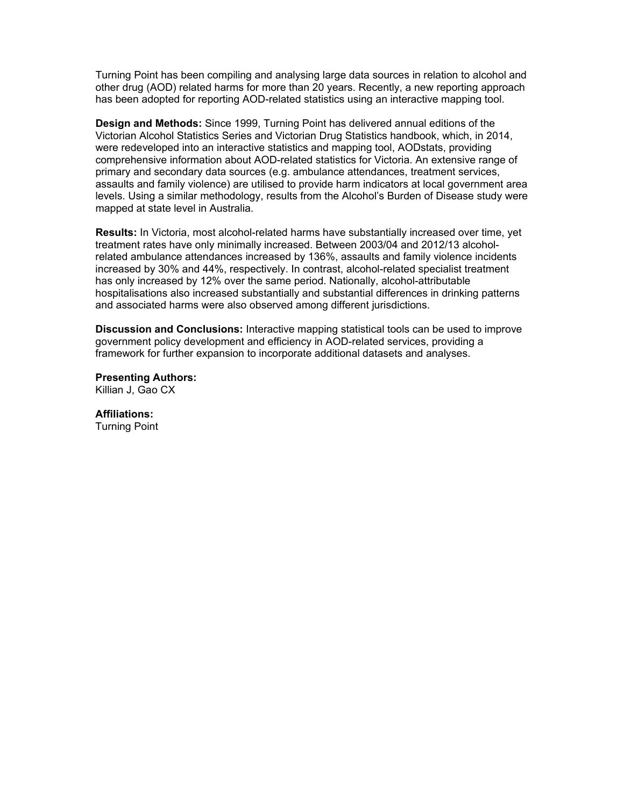Turning Point has been compiling and analysing large data sources in relation to alcohol and other drug (AOD) related harms for more than 20 years. Recently, a new reporting approach has been adopted for reporting AOD-related statistics using an interactive mapping tool.

**Design and Methods:** Since 1999, Turning Point has delivered annual editions of the Victorian Alcohol Statistics Series and Victorian Drug Statistics handbook, which, in 2014, were redeveloped into an interactive statistics and mapping tool, AODstats, providing comprehensive information about AOD-related statistics for Victoria. An extensive range of primary and secondary data sources (e.g. ambulance attendances, treatment services, assaults and family violence) are utilised to provide harm indicators at local government area levels. Using a similar methodology, results from the Alcohol's Burden of Disease study were mapped at state level in Australia.

**Results:** In Victoria, most alcohol-related harms have substantially increased over time, yet treatment rates have only minimally increased. Between 2003/04 and 2012/13 alcoholrelated ambulance attendances increased by 136%, assaults and family violence incidents increased by 30% and 44%, respectively. In contrast, alcohol-related specialist treatment has only increased by 12% over the same period. Nationally, alcohol-attributable hospitalisations also increased substantially and substantial differences in drinking patterns and associated harms were also observed among different jurisdictions.

**Discussion and Conclusions:** Interactive mapping statistical tools can be used to improve government policy development and efficiency in AOD-related services, providing a framework for further expansion to incorporate additional datasets and analyses.

**Presenting Authors:** Killian J, Gao CX

**Affiliations:**

Turning Point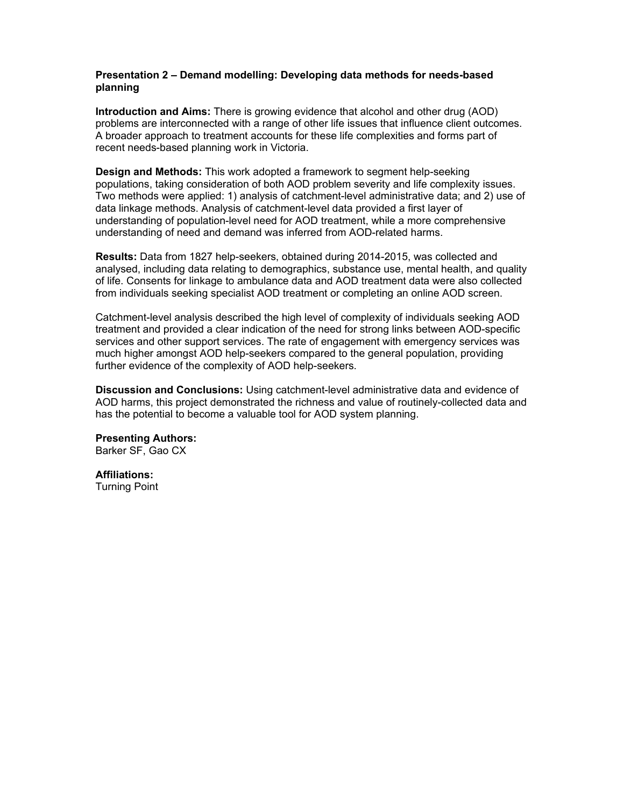## **Presentation 2 – Demand modelling: Developing data methods for needs-based planning**

**Introduction and Aims:** There is growing evidence that alcohol and other drug (AOD) problems are interconnected with a range of other life issues that influence client outcomes. A broader approach to treatment accounts for these life complexities and forms part of recent needs-based planning work in Victoria.

**Design and Methods:** This work adopted a framework to segment help-seeking populations, taking consideration of both AOD problem severity and life complexity issues. Two methods were applied: 1) analysis of catchment-level administrative data; and 2) use of data linkage methods. Analysis of catchment-level data provided a first layer of understanding of population-level need for AOD treatment, while a more comprehensive understanding of need and demand was inferred from AOD-related harms.

**Results:** Data from 1827 help-seekers, obtained during 2014-2015, was collected and analysed, including data relating to demographics, substance use, mental health, and quality of life. Consents for linkage to ambulance data and AOD treatment data were also collected from individuals seeking specialist AOD treatment or completing an online AOD screen.

Catchment-level analysis described the high level of complexity of individuals seeking AOD treatment and provided a clear indication of the need for strong links between AOD-specific services and other support services. The rate of engagement with emergency services was much higher amongst AOD help-seekers compared to the general population, providing further evidence of the complexity of AOD help-seekers.

**Discussion and Conclusions:** Using catchment-level administrative data and evidence of AOD harms, this project demonstrated the richness and value of routinely-collected data and has the potential to become a valuable tool for AOD system planning.

**Presenting Authors:** Barker SF, Gao CX

**Affiliations:**

Turning Point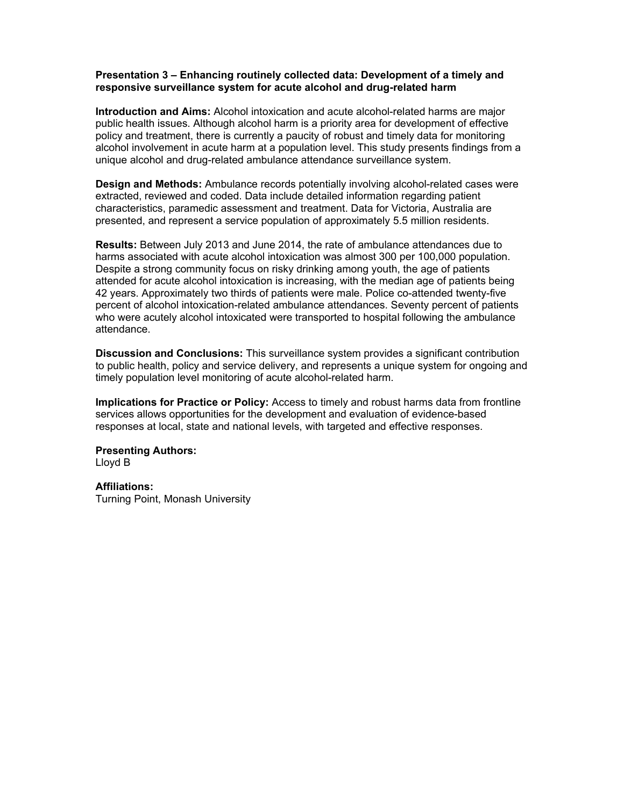## **Presentation 3 – Enhancing routinely collected data: Development of a timely and responsive surveillance system for acute alcohol and drug-related harm**

**Introduction and Aims:** Alcohol intoxication and acute alcohol-related harms are major public health issues. Although alcohol harm is a priority area for development of effective policy and treatment, there is currently a paucity of robust and timely data for monitoring alcohol involvement in acute harm at a population level. This study presents findings from a unique alcohol and drug-related ambulance attendance surveillance system.

**Design and Methods:** Ambulance records potentially involving alcohol-related cases were extracted, reviewed and coded. Data include detailed information regarding patient characteristics, paramedic assessment and treatment. Data for Victoria, Australia are presented, and represent a service population of approximately 5.5 million residents.

**Results:** Between July 2013 and June 2014, the rate of ambulance attendances due to harms associated with acute alcohol intoxication was almost 300 per 100,000 population. Despite a strong community focus on risky drinking among youth, the age of patients attended for acute alcohol intoxication is increasing, with the median age of patients being 42 years. Approximately two thirds of patients were male. Police co-attended twenty-five percent of alcohol intoxication-related ambulance attendances. Seventy percent of patients who were acutely alcohol intoxicated were transported to hospital following the ambulance attendance.

**Discussion and Conclusions:** This surveillance system provides a significant contribution to public health, policy and service delivery, and represents a unique system for ongoing and timely population level monitoring of acute alcohol-related harm.

**Implications for Practice or Policy:** Access to timely and robust harms data from frontline services allows opportunities for the development and evaluation of evidence-based responses at local, state and national levels, with targeted and effective responses.

**Presenting Authors:** Lloyd B

**Affiliations:** Turning Point, Monash University